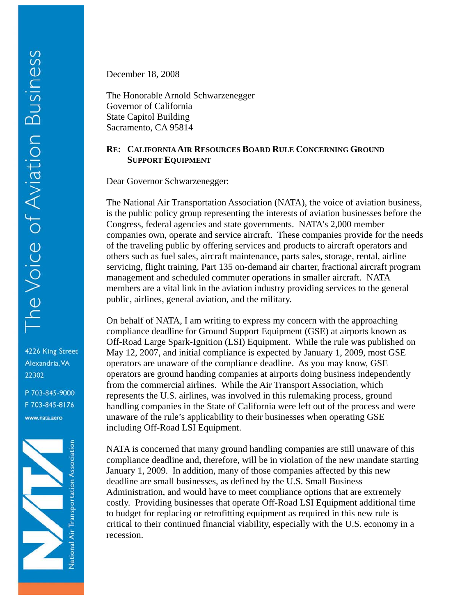4226 King Street Alexandria, VA 22302

P 703-845-9000 F 703-845-8176 www.nata.aero



December 18, 2008

The Honorable Arnold Schwarzenegger Governor of California State Capitol Building Sacramento, CA 95814

## **RE: CALIFORNIA AIR RESOURCES BOARD RULE CONCERNING GROUND SUPPORT EQUIPMENT**

Dear Governor Schwarzenegger:

The National Air Transportation Association (NATA), the voice of aviation business, is the public policy group representing the interests of aviation businesses before the Congress, federal agencies and state governments. NATA's 2,000 member companies own, operate and service aircraft. These companies provide for the needs of the traveling public by offering services and products to aircraft operators and others such as fuel sales, aircraft maintenance, parts sales, storage, rental, airline servicing, flight training, Part 135 on-demand air charter, fractional aircraft program management and scheduled commuter operations in smaller aircraft. NATA members are a vital link in the aviation industry providing services to the general public, airlines, general aviation, and the military.

On behalf of NATA, I am writing to express my concern with the approaching compliance deadline for Ground Support Equipment (GSE) at airports known as Off-Road Large Spark-Ignition (LSI) Equipment. While the rule was published on May 12, 2007, and initial compliance is expected by January 1, 2009, most GSE operators are unaware of the compliance deadline. As you may know, GSE operators are ground handing companies at airports doing business independently from the commercial airlines. While the Air Transport Association, which represents the U.S. airlines, was involved in this rulemaking process, ground handling companies in the State of California were left out of the process and were unaware of the rule's applicability to their businesses when operating GSE including Off-Road LSI Equipment.

NATA is concerned that many ground handling companies are still unaware of this compliance deadline and, therefore, will be in violation of the new mandate starting January 1, 2009. In addition, many of those companies affected by this new deadline are small businesses, as defined by the U.S. Small Business Administration, and would have to meet compliance options that are extremely costly. Providing businesses that operate Off-Road LSI Equipment additional time to budget for replacing or retrofitting equipment as required in this new rule is critical to their continued financial viability, especially with the U.S. economy in a recession.